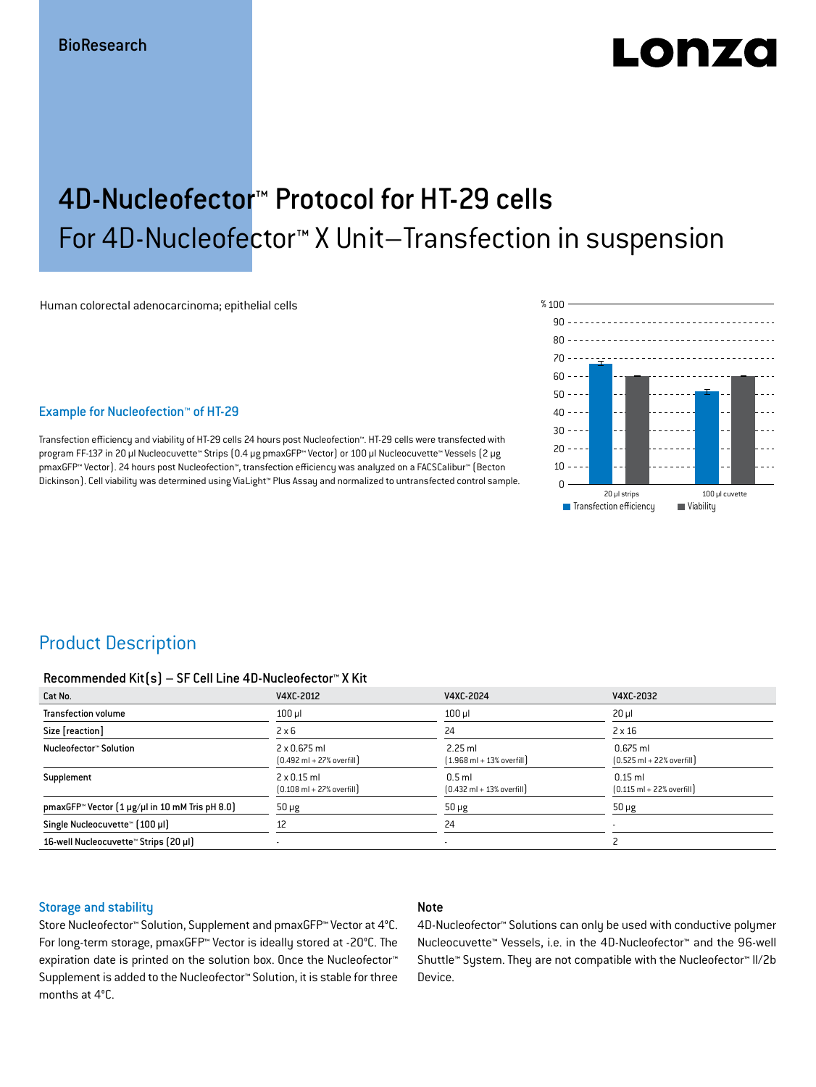# LONZO

## 4D-Nucleofector™ Protocol for HT-29 cells For 4D-Nucleofector™ X Unit–Transfection in suspension

Human colorectal adenocarcinoma; epithelial cells

#### Example for Nucleofection™ of HT-29

Transfection efficiency and viability of HT-29 cells 24 hours post Nucleofection™. HT-29 cells were transfected with program FF-137 in 20 μl Nucleocuvette™ Strips (0.4 μg pmaxGFP™ Vector) or 100 μl Nucleocuvette™ Vessels (2 μg pmaxGFP™ Vector). 24 hours post Nucleofection™, transfection efficiency was analyzed on a FACSCalibur™ (Becton Dickinson). Cell viability was determined using ViaLight™ Plus Assay and normalized to untransfected control sample.



### Product Description

#### Recommended Kit(s) – SF Cell Line 4D-Nucleofector™ X Kit

| Cat No.                                                           | V4XC-2012                                                           | V4XC-2024                                                 | V4XC-2032                                                  |
|-------------------------------------------------------------------|---------------------------------------------------------------------|-----------------------------------------------------------|------------------------------------------------------------|
| <b>Transfection volume</b>                                        | $100$ $\mu$                                                         | $100$ $\mu$                                               | $20 \mu$                                                   |
| Size [reaction]                                                   | $2 \times 6$                                                        | 24                                                        | $2 \times 16$                                              |
| Nucleofector™ Solution                                            | $2 \times 0.675$ ml<br>$[0.492 \text{ ml} + 27\% \text{ overfill}]$ | $2.25$ ml<br>$(1.968 \text{ ml} + 13\% \text{ overfill})$ | $0.675$ ml<br>$[0.525 \text{ ml} + 22\% \text{ overfill}]$ |
| Supplement                                                        | $2 \times 0.15$ ml<br>$[0.108 \text{ ml} + 27\% \text{ overfill}]$  | $0.5$ ml<br>$[0.432 \text{ ml} + 13\% \text{ overfill}]$  | $0.15$ ml<br>$[0.115 \text{ ml} + 22\% \text{ overfill}]$  |
| pmaxGFP <sup>*</sup> Vector $(1 \mu g/\mu)$ in 10 mM Tris pH 8.0) | $50 \mu g$                                                          | $50 \mu g$                                                | $50 \mu g$                                                 |
| Single Nucleocuvette™ [100 µl]                                    | 12                                                                  | 24                                                        | $\overline{\phantom{a}}$                                   |
| 16-well Nucleocuvette™ Strips (20 µl)                             |                                                                     | $\blacksquare$                                            |                                                            |

#### Storage and stability

#### Note

Store Nucleofector™ Solution, Supplement and pmaxGFP™ Vector at 4°C. For long-term storage, pmaxGFP™ Vector is ideally stored at -20°C. The expiration date is printed on the solution box. Once the Nucleofector™ Supplement is added to the Nucleofector™ Solution, it is stable for three months at 4°C.

4D-Nucleofector™ Solutions can only be used with conductive polymer Nucleocuvette™ Vessels, i.e. in the 4D-Nucleofector™ and the 96-well Shuttle™ System. They are not compatible with the Nucleofector™ II/2b Device.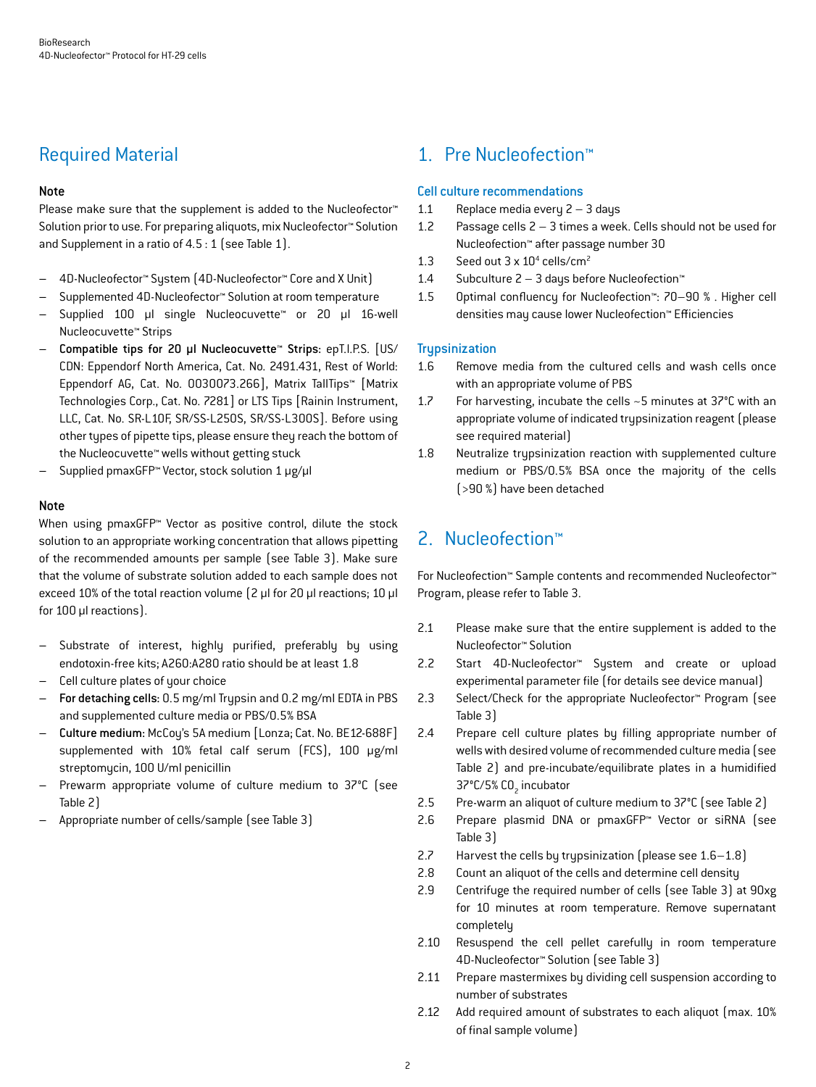## Required Material

#### Note

Please make sure that the supplement is added to the Nucleofector<sup>™</sup> Solution prior to use. For preparing aliquots, mix Nucleofector™ Solution and Supplement in a ratio of 4.5 : 1 (see Table 1).

- 4D-Nucleofector™ System (4D-Nucleofector™ Core and X Unit)
- Supplemented 4D-Nucleofector™ Solution at room temperature
- Supplied 100 µl single Nucleocuvette™ or 20 µl 16-well Nucleocuvette™ Strips
- Compatible tips for 20 µl Nucleocuvette™ Strips: epT.I.P.S. [US/ CDN: Eppendorf North America, Cat. No. 2491.431, Rest of World: Eppendorf AG, Cat. No. 0030073.266], Matrix TallTips™ [Matrix Technologies Corp., Cat. No. 7281] or LTS Tips [Rainin Instrument, LLC, Cat. No. SR-L10F, SR/SS-L250S, SR/SS-L300S]. Before using other types of pipette tips, please ensure they reach the bottom of the Nucleocuvette™ wells without getting stuck
- Supplied pmaxGFP™ Vector, stock solution 1 μg/μl

#### Note

When using pmaxGFP™ Vector as positive control, dilute the stock solution to an appropriate working concentration that allows pipetting of the recommended amounts per sample (see Table 3). Make sure that the volume of substrate solution added to each sample does not exceed 10% of the total reaction volume (2 μl for 20 μl reactions; 10 μl for 100 μl reactions).

- Substrate of interest, highly purified, preferably by using endotoxin-free kits; A260:A280 ratio should be at least 1.8
- Cell culture plates of your choice
- For detaching cells: 0.5 mg/ml Trypsin and 0.2 mg/ml EDTA in PBS and supplemented culture media or PBS/0.5% BSA
- Culture medium: McCoy's 5A medium [Lonza; Cat. No. BE12-688F] supplemented with 10% fetal calf serum (FCS), 100 μg/ml streptomycin, 100 U/ml penicillin
- Prewarm appropriate volume of culture medium to 37°C (see Table 2)
- Appropriate number of cells/sample (see Table 3)

## 1. Pre Nucleofection™

#### Cell culture recommendations

- 1.1 Replace media every 2 3 days
- 1.2 Passage cells 2 3 times a week. Cells should not be used for Nucleofection™ after passage number 30
- 1.3 Seed out  $3 \times 10^4$  cells/cm<sup>2</sup>
- 1.4 Subculture 2 3 days before Nucleofection™
- 1.5 Optimal confluency for Nucleofection™: 70–90 % . Higher cell densities may cause lower Nucleofection™ Efficiencies

#### **Trupsinization**

- 1.6 Remove media from the cultured cells and wash cells once with an appropriate volume of PBS
- 1.7 For harvesting, incubate the cells ~5 minutes at 37°C with an appropriate volume of indicated trypsinization reagent (please see required material)
- 1.8 Neutralize trypsinization reaction with supplemented culture medium or PBS/0.5% BSA once the majority of the cells (>90 %) have been detached

## 2. Nucleofection™

For Nucleofection™ Sample contents and recommended Nucleofector™ Program, please refer to Table 3.

- 2.1 Please make sure that the entire supplement is added to the Nucleofector™ Solution
- 2.2 Start 4D-Nucleofector™ System and create or upload experimental parameter file (for details see device manual)
- 2.3 Select/Check for the appropriate Nucleofector™ Program (see Table 3)
- 2.4 Prepare cell culture plates by filling appropriate number of wells with desired volume of recommended culture media (see Table 2) and pre-incubate/equilibrate plates in a humidified 37°C/5% CO<sub>2</sub> incubator
- 2.5 Pre-warm an aliquot of culture medium to 37°C (see Table 2)
- 2.6 Prepare plasmid DNA or pmaxGFP™ Vector or siRNA (see Table 3)
- 2.7 Harvest the cells by trypsinization (please see 1.6–1.8)
- 2.8 Count an aliquot of the cells and determine cell density
- 2.9 Centrifuge the required number of cells (see Table 3) at 90xg for 10 minutes at room temperature. Remove supernatant completely
- 2.10 Resuspend the cell pellet carefully in room temperature 4D-Nucleofector™ Solution (see Table 3)
- 2.11 Prepare mastermixes by dividing cell suspension according to number of substrates
- 2.12 Add required amount of substrates to each aliquot (max. 10% of final sample volume)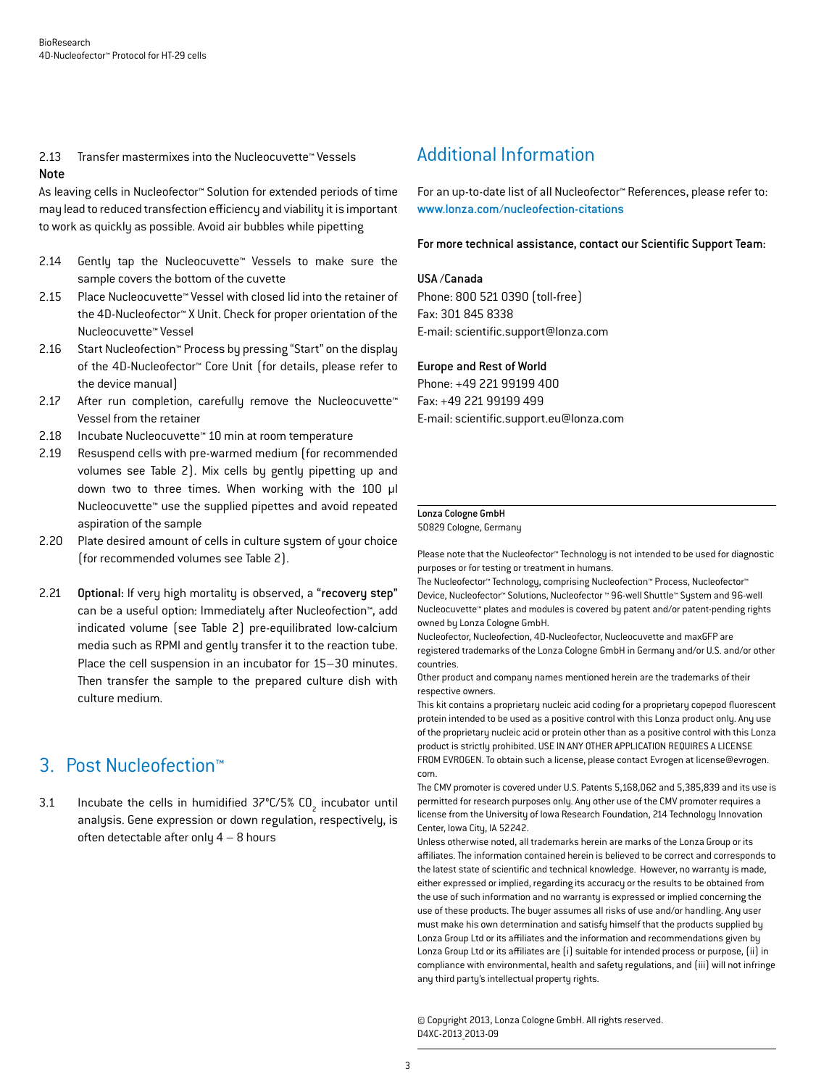2.13 Transfer mastermixes into the Nucleocuvette™ Vessels Note

As leaving cells in Nucleofector™ Solution for extended periods of time may lead to reduced transfection efficiency and viability it is important to work as quickly as possible. Avoid air bubbles while pipetting

- 2.14 Gently tap the Nucleocuvette™ Vessels to make sure the sample covers the bottom of the cuvette
- 2.15 Place Nucleocuvette™ Vessel with closed lid into the retainer of the 4D-Nucleofector™ X Unit. Check for proper orientation of the Nucleocuvette™ Vessel
- 2.16 Start Nucleofection™ Process by pressing "Start" on the display of the 4D-Nucleofector™ Core Unit (for details, please refer to the device manual)
- 2.17 After run completion, carefully remove the Nucleocuvette™ Vessel from the retainer
- 2.18 Incubate Nucleocuvette™ 10 min at room temperature
- 2.19 Resuspend cells with pre-warmed medium (for recommended volumes see Table 2). Mix cells by gently pipetting up and down two to three times. When working with the 100 µl Nucleocuvette™ use the supplied pipettes and avoid repeated aspiration of the sample
- 2.20 Plate desired amount of cells in culture system of your choice (for recommended volumes see Table 2).
- 2.21 Optional: If very high mortality is observed, a "recovery step" can be a useful option: Immediately after Nucleofection™, add indicated volume (see Table 2) pre-equilibrated low-calcium media such as RPMI and gently transfer it to the reaction tube. Place the cell suspension in an incubator for 15–30 minutes. Then transfer the sample to the prepared culture dish with culture medium.

## 3. Post Nucleofection™

3.1 Incubate the cells in humidified  $37^{\circ}$ C/5% CO<sub>2</sub> incubator until analysis. Gene expression or down regulation, respectively, is often detectable after only 4 – 8 hours

## Additional Information

For an up-to-date list of all Nucleofector™ References, please refer to: www.lonza.com/nucleofection-citations

For more technical assistance, contact our Scientific Support Team:

#### USA /Canada

Phone: 800 521 0390 (toll-free) Fax: 301 845 8338 E-mail: scientific.support@lonza.com

#### Europe and Rest of World

Phone: +49 221 99199 400 Fax: +49 221 99199 499 E-mail: scientific.support.eu@lonza.com

#### Lonza Cologne GmbH

50829 Cologne, Germany

Please note that the Nucleofector™ Technology is not intended to be used for diagnostic purposes or for testing or treatment in humans.

The Nucleofector™ Technology, comprising Nucleofection™ Process, Nucleofector™ Device, Nucleofector™ Solutions, Nucleofector ™ 96-well Shuttle™ System and 96-well Nucleocuvette™ plates and modules is covered by patent and/or patent-pending rights owned by Lonza Cologne GmbH.

Nucleofector, Nucleofection, 4D-Nucleofector, Nucleocuvette and maxGFP are registered trademarks of the Lonza Cologne GmbH in Germany and/or U.S. and/or other countries.

Other product and company names mentioned herein are the trademarks of their respective owners.

This kit contains a proprietary nucleic acid coding for a proprietary copepod fluorescent protein intended to be used as a positive control with this Lonza product only. Any use of the proprietary nucleic acid or protein other than as a positive control with this Lonza product is strictly prohibited. USE IN ANY OTHER APPLICATION REQUIRES A LICENSE FROM EVROGEN. To obtain such a license, please contact Evrogen at license@evrogen. com.

The CMV promoter is covered under U.S. Patents 5,168,062 and 5,385,839 and its use is permitted for research purposes only. Any other use of the CMV promoter requires a license from the University of Iowa Research Foundation, 214 Technology Innovation Center, Iowa City, IA 52242.

Unless otherwise noted, all trademarks herein are marks of the Lonza Group or its affiliates. The information contained herein is believed to be correct and corresponds to the latest state of scientific and technical knowledge. However, no warranty is made, either expressed or implied, regarding its accuracy or the results to be obtained from the use of such information and no warranty is expressed or implied concerning the use of these products. The buyer assumes all risks of use and/or handling. Any user must make his own determination and satisfy himself that the products supplied by Lonza Group Ltd or its affiliates and the information and recommendations given by Lonza Group Ltd or its affiliates are (i) suitable for intended process or purpose, (ii) in compliance with environmental, health and safety regulations, and (iii) will not infringe any third party's intellectual property rights.

© Copyright 2013, Lonza Cologne GmbH. All rights reserved. D4XC-2013\_2013-09